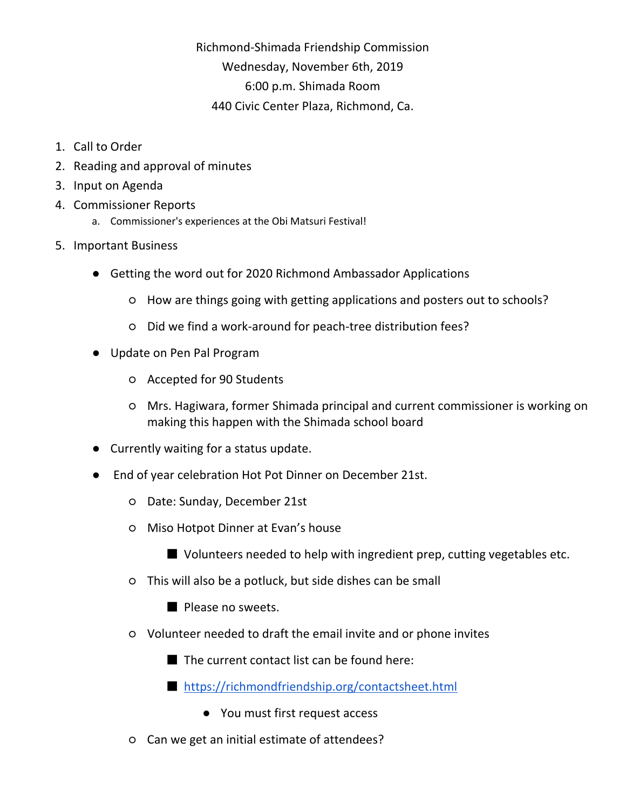Richmond-Shimada Friendship Commission Wednesday, November 6th, 2019 6:00 p.m. Shimada Room 440 Civic Center Plaza, Richmond, Ca.

- 1. Call to Order
- 2. Reading and approval of minutes
- 3. Input on Agenda
- 4. Commissioner Reports
	- a. Commissioner's experiences at the Obi Matsuri Festival!
- 5. Important Business
	- Getting the word out for 2020 Richmond Ambassador Applications
		- How are things going with getting applications and posters out to schools?
		- Did we find a work-around for peach-tree distribution fees?
	- Update on Pen Pal Program
		- Accepted for 90 Students
		- Mrs. Hagiwara, former Shimada principal and current commissioner is working on making this happen with the Shimada school board
	- Currently waiting for a status update.
	- End of year celebration Hot Pot Dinner on December 21st.
		- Date: Sunday, December 21st
		- Miso Hotpot Dinner at Evan's house
			- Volunteers needed to help with ingredient prep, cutting vegetables etc.
		- This will also be a potluck, but side dishes can be small
			- Please no sweets.
		- Volunteer needed to draft the email invite and or phone invites
			- The current contact list can be found here:
			- <https://richmondfriendship.org/contactsheet.html>
				- You must first request access
		- Can we get an initial estimate of attendees?